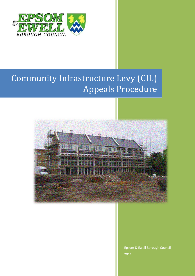

# Community Infrastructure Levy (CIL) Appeals Procedure



Epsom & Ewell Borough Council 2014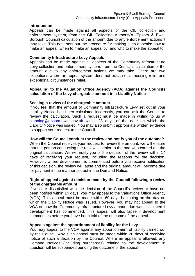## **Introduction**

Appeals can be made against all aspects of the CIL collection and enforcement system, from the CIL Collecting Authority's (Epsom & Ewell Borough Council) calculation of the amount due to any enforcement actions it may take. This note sets out the procedure for making such appeals: how to make an appeal, when to make an appeal by, and who to make the appeal to.

#### **Community Infrastructure Levy Appeals**

Appeals can be made against all aspects of the Community Infrastructure Levy collection and enforcement system, from the Council's calculation of the amount due to any enforcement actions we may take. There are two exceptions where an appeal system does not exist, social housing relief and exceptional circumstances relief.

# **Appealing to the Valuation Office Agency (VOA) against the Councils calculation of the Levy chargeable amount in a Liability Notice**

## **Seeking a review of the chargeable amount**

If you feel that the amount of Community Infrastructure Levy set out in your Liability Notice has been calculated incorrectly, you can ask the Council to review the calculation. Such a request must be made in writing to us at [planning@epsom-ewell.gov.uk](mailto:planning@epsom-ewell.gov.uk) within 28 days of the date on which the Liability Notice was issued. You may also submit appropriate written evidence to support your request to the Council.

## **How will the Council conduct the review and notify you of the outcome?**

When the Council receives your request to review the amount, we will ensure that the person conducting the review is senior to the one who carried out the original calculation. We will notify you of the decision of the review within 14 days of receiving your request, including the reasons for the decision. However, where development is commenced before you receive notification of this decision, the review will lapse and the original amount will become due for payment in the manner set out in the Demand Notice.

## **Right of appeal against decision made by the Council following a review of the chargeable amount**

If you are dissatisfied with the decision of the Council's review or have not been notified within 14 days, you may appeal to the Valuations Office Agency (VOA). This appeal must be made within 60 days beginning on the day on which the Liability Notice was issued. However, you may not appeal to the VOA on how the Community Infrastructure Levy amount due was calculated if development has commenced. This appeal will also lapse if development commences before you have been told of the outcome of the appeal.

## **Appeals against the apportionment of liability for the Levy**

You may appeal to the VOA against any apportionment of liability carried out by the Council. Any such appeal must be made within 28 days of receiving notice of such a decision by the Council. Where an appeal is allowed, any Demand Notices (including surcharges) relating to the development in question will be suspended pending the outcome of the appeal.